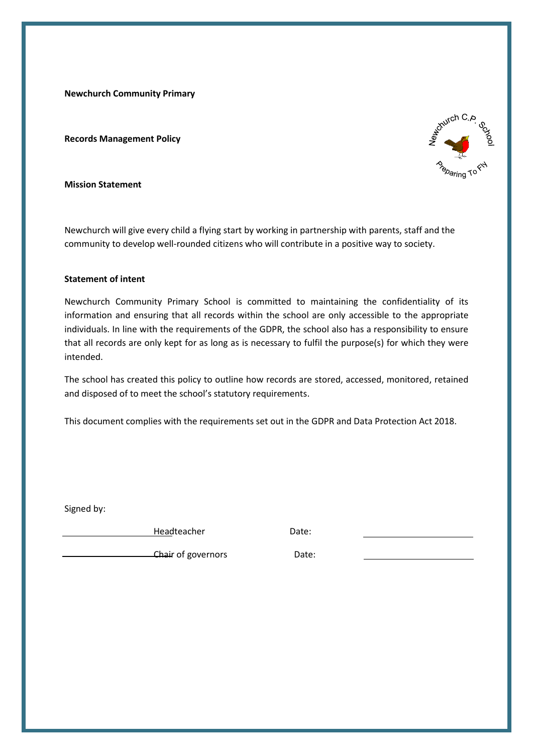**Newchurch Community Primary** 

**Records Management Policy**



**Mission Statement**

Newchurch will give every child a flying start by working in partnership with parents, staff and the community to develop well-rounded citizens who will contribute in a positive way to society.

#### **Statement of intent**

Newchurch Community Primary School is committed to maintaining the confidentiality of its information and ensuring that all records within the school are only accessible to the appropriate individuals. In line with the requirements of the GDPR, the school also has a responsibility to ensure that all records are only kept for as long as is necessary to fulfil the purpose(s) for which they were intended.

The school has created this policy to outline how records are stored, accessed, monitored, retained and disposed of to meet the school's statutory requirements.

This document complies with the requirements set out in the GDPR and Data Protection Act 2018.

Signed by:

Headteacher Date:

Chair of governors **Date:**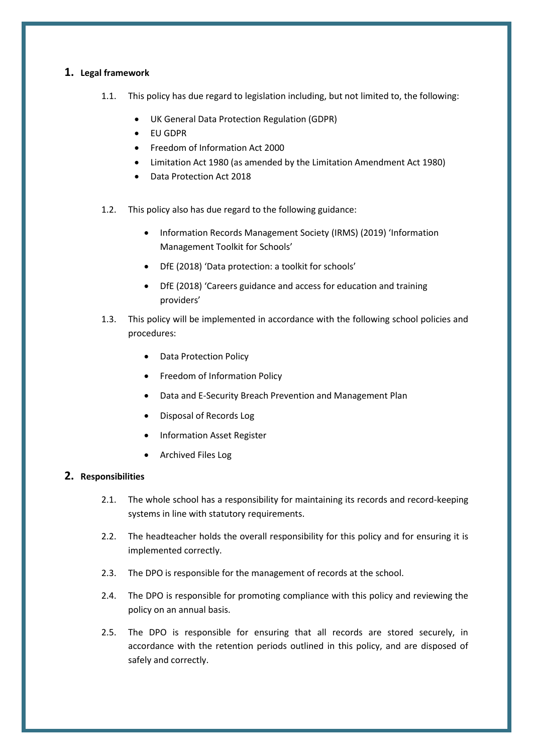# **1. Legal framework**

- 1.1. This policy has due regard to legislation including, but not limited to, the following:
	- UK General Data Protection Regulation (GDPR)
	- EU GDPR
	- Freedom of Information Act 2000
	- Limitation Act 1980 (as amended by the Limitation Amendment Act 1980)
	- Data Protection Act 2018
- 1.2. This policy also has due regard to the following guidance:
	- Information Records Management Society (IRMS) (2019) 'Information Management Toolkit for Schools'
	- DfE (2018) 'Data protection: a toolkit for schools'
	- DfE (2018) 'Careers guidance and access for education and training providers'
- 1.3. This policy will be implemented in accordance with the following school policies and procedures:
	- Data Protection Policy
	- Freedom of Information Policy
	- Data and E-Security Breach Prevention and Management Plan
	- Disposal of Records Log
	- Information Asset Register
	- Archived Files Log

## **2. Responsibilities**

- 2.1. The whole school has a responsibility for maintaining its records and record-keeping systems in line with statutory requirements.
- 2.2. The headteacher holds the overall responsibility for this policy and for ensuring it is implemented correctly.
- 2.3. The DPO is responsible for the management of records at the school.
- 2.4. The DPO is responsible for promoting compliance with this policy and reviewing the policy on an annual basis.
- 2.5. The DPO is responsible for ensuring that all records are stored securely, in accordance with the retention periods outlined in this policy, and are disposed of safely and correctly.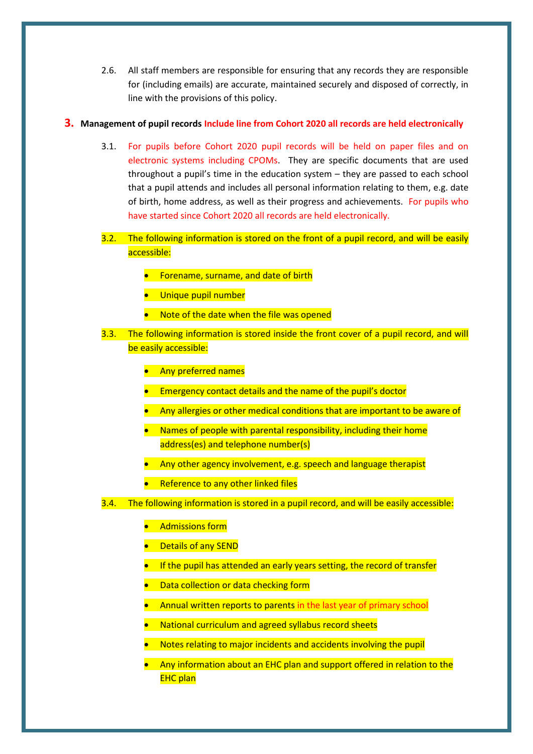2.6. All staff members are responsible for ensuring that any records they are responsible for (including emails) are accurate, maintained securely and disposed of correctly, in line with the provisions of this policy.

## **3. Management of pupil records Include line from Cohort 2020 all records are held electronically**

- 3.1. For pupils before Cohort 2020 pupil records will be held on paper files and on electronic systems including CPOMs. They are specific documents that are used throughout a pupil's time in the education system – they are passed to each school that a pupil attends and includes all personal information relating to them, e.g. date of birth, home address, as well as their progress and achievements. For pupils who have started since Cohort 2020 all records are held electronically.
- 3.2. The following information is stored on the front of a pupil record, and will be easily accessible:
	- **•** Forename, surname, and date of birth
	- Unique pupil number
	- Note of the date when the file was opened
- 3.3. The following information is stored inside the front cover of a pupil record, and will be easily accessible:
	- **•** Any preferred names
	- Emergency contact details and the name of the pupil's doctor
	- Any allergies or other medical conditions that are important to be aware of
	- Names of people with parental responsibility, including their home address(es) and telephone number(s)
	- Any other agency involvement, e.g. speech and language therapist
	- Reference to any other linked files

3.4. The following information is stored in a pupil record, and will be easily accessible:

- Admissions form
- Details of any SEND
- If the pupil has attended an early years setting, the record of transfer
- **Data collection or data checking form**
- Annual written reports to parents in the last year of primary school
- National curriculum and agreed syllabus record sheets
- Notes relating to major incidents and accidents involving the pupil
- Any information about an EHC plan and support offered in relation to the EHC plan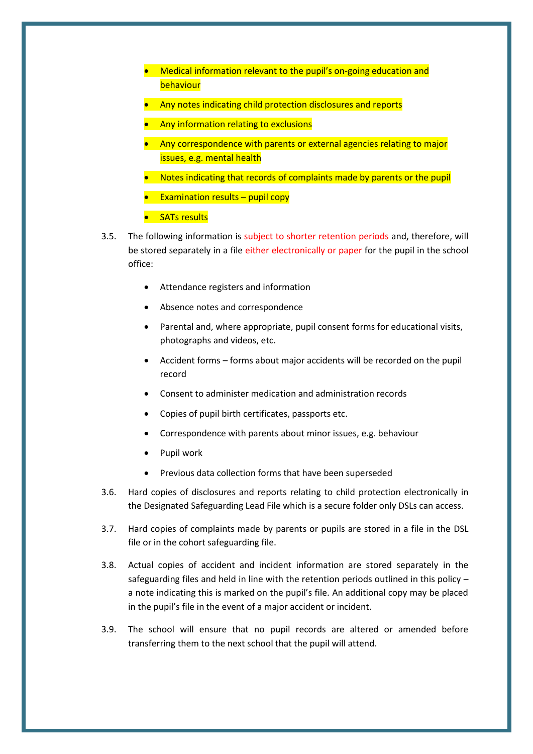- Medical information relevant to the pupil's on-going education and behaviour
- Any notes indicating child protection disclosures and reports
- Any information relating to exclusions
- Any correspondence with parents or external agencies relating to major issues, e.g. mental health
- Notes indicating that records of complaints made by parents or the pupil
- **Examination results pupil copy**
- **•** SATs results
- 3.5. The following information is subject to shorter retention periods and, therefore, will be stored separately in a file either electronically or paper for the pupil in the school office:
	- Attendance registers and information
	- Absence notes and correspondence
	- Parental and, where appropriate, pupil consent forms for educational visits, photographs and videos, etc.
	- Accident forms forms about major accidents will be recorded on the pupil record
	- Consent to administer medication and administration records
	- Copies of pupil birth certificates, passports etc.
	- Correspondence with parents about minor issues, e.g. behaviour
	- Pupil work
	- Previous data collection forms that have been superseded
- 3.6. Hard copies of disclosures and reports relating to child protection electronically in the Designated Safeguarding Lead File which is a secure folder only DSLs can access.
- 3.7. Hard copies of complaints made by parents or pupils are stored in a file in the DSL file or in the cohort safeguarding file.
- 3.8. Actual copies of accident and incident information are stored separately in the safeguarding files and held in line with the retention periods outlined in this policy  $$ a note indicating this is marked on the pupil's file. An additional copy may be placed in the pupil's file in the event of a major accident or incident.
- 3.9. The school will ensure that no pupil records are altered or amended before transferring them to the next school that the pupil will attend.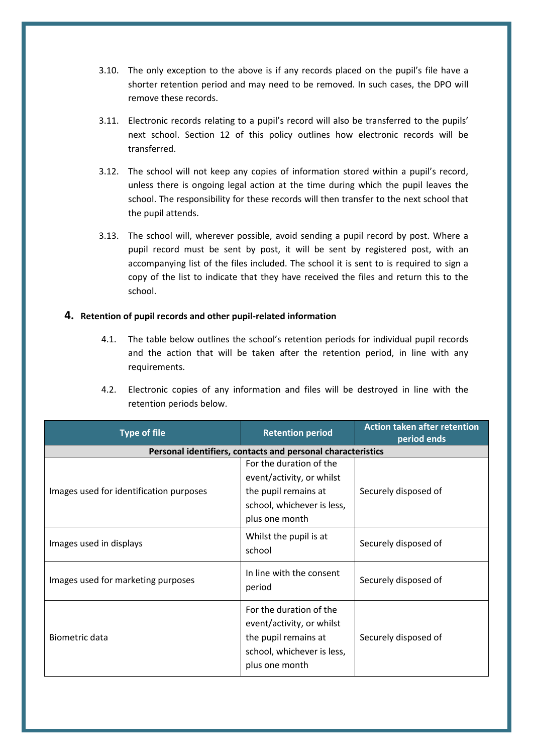- 3.10. The only exception to the above is if any records placed on the pupil's file have a shorter retention period and may need to be removed. In such cases, the DPO will remove these records.
- 3.11. Electronic records relating to a pupil's record will also be transferred to the pupils' next school. [Section 12](#page-22-0) of this policy outlines how electronic records will be transferred.
- 3.12. The school will not keep any copies of information stored within a pupil's record, unless there is ongoing legal action at the time during which the pupil leaves the school. The responsibility for these records will then transfer to the next school that the pupil attends.
- 3.13. The school will, wherever possible, avoid sending a pupil record by post. Where a pupil record must be sent by post, it will be sent by registered post, with an accompanying list of the files included. The school it is sent to is required to sign a copy of the list to indicate that they have received the files and return this to the school.

## **4. Retention of pupil records and other pupil-related information**

- 4.1. The table below outlines the school's retention periods for individual pupil records and the action that will be taken after the retention period, in line with any requirements.
- 4.2. Electronic copies of any information and files will be destroyed in line with the retention periods below.

| <b>Type of file</b>                     | <b>Retention period</b>                                                                                                      | <b>Action taken after retention</b><br>period ends |
|-----------------------------------------|------------------------------------------------------------------------------------------------------------------------------|----------------------------------------------------|
|                                         | Personal identifiers, contacts and personal characteristics                                                                  |                                                    |
| Images used for identification purposes | For the duration of the<br>event/activity, or whilst<br>the pupil remains at<br>school, whichever is less,<br>plus one month | Securely disposed of                               |
| Images used in displays                 | Whilst the pupil is at<br>school                                                                                             | Securely disposed of                               |
| Images used for marketing purposes      | In line with the consent<br>period                                                                                           | Securely disposed of                               |
| Biometric data                          | For the duration of the<br>event/activity, or whilst<br>the pupil remains at<br>school, whichever is less,<br>plus one month | Securely disposed of                               |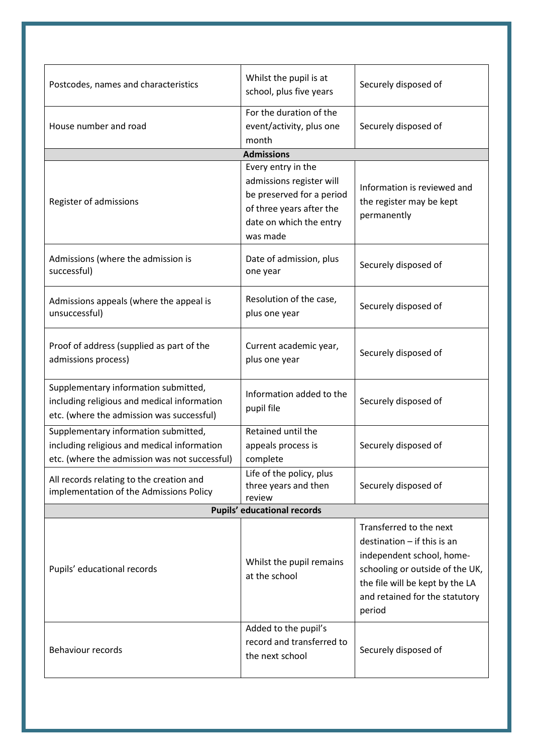| Postcodes, names and characteristics                                                                                                 | Whilst the pupil is at<br>school, plus five years                                                                                              | Securely disposed of                                                                                                                                                                                       |
|--------------------------------------------------------------------------------------------------------------------------------------|------------------------------------------------------------------------------------------------------------------------------------------------|------------------------------------------------------------------------------------------------------------------------------------------------------------------------------------------------------------|
| House number and road                                                                                                                | For the duration of the<br>event/activity, plus one<br>month                                                                                   | Securely disposed of                                                                                                                                                                                       |
|                                                                                                                                      | <b>Admissions</b>                                                                                                                              |                                                                                                                                                                                                            |
| Register of admissions                                                                                                               | Every entry in the<br>admissions register will<br>be preserved for a period<br>of three years after the<br>date on which the entry<br>was made | Information is reviewed and<br>the register may be kept<br>permanently                                                                                                                                     |
| Admissions (where the admission is<br>successful)                                                                                    | Date of admission, plus<br>one year                                                                                                            | Securely disposed of                                                                                                                                                                                       |
| Admissions appeals (where the appeal is<br>unsuccessful)                                                                             | Resolution of the case,<br>plus one year                                                                                                       | Securely disposed of                                                                                                                                                                                       |
| Proof of address (supplied as part of the<br>admissions process)                                                                     | Current academic year,<br>plus one year                                                                                                        | Securely disposed of                                                                                                                                                                                       |
| Supplementary information submitted,<br>including religious and medical information<br>etc. (where the admission was successful)     | Information added to the<br>pupil file                                                                                                         | Securely disposed of                                                                                                                                                                                       |
| Supplementary information submitted,<br>including religious and medical information<br>etc. (where the admission was not successful) | Retained until the<br>appeals process is<br>complete                                                                                           | Securely disposed of                                                                                                                                                                                       |
| All records relating to the creation and<br>implementation of the Admissions Policy                                                  | Life of the policy, plus<br>three years and then<br>review                                                                                     | Securely disposed of                                                                                                                                                                                       |
| <b>Pupils' educational records</b>                                                                                                   |                                                                                                                                                |                                                                                                                                                                                                            |
| Pupils' educational records                                                                                                          | Whilst the pupil remains<br>at the school                                                                                                      | Transferred to the next<br>$d$ estination $-$ if this is an<br>independent school, home-<br>schooling or outside of the UK,<br>the file will be kept by the LA<br>and retained for the statutory<br>period |
| Behaviour records                                                                                                                    | Added to the pupil's<br>record and transferred to<br>the next school                                                                           | Securely disposed of                                                                                                                                                                                       |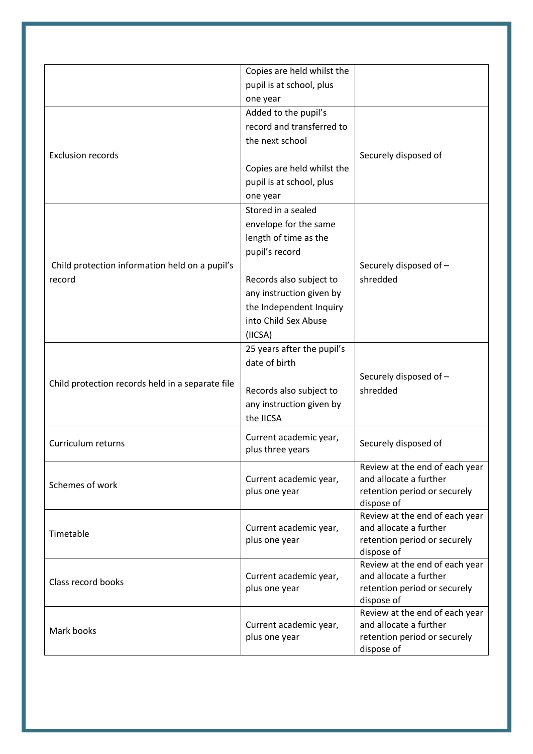|                                                  | Copies are held whilst the |                                            |
|--------------------------------------------------|----------------------------|--------------------------------------------|
|                                                  | pupil is at school, plus   |                                            |
|                                                  | one year                   |                                            |
|                                                  | Added to the pupil's       |                                            |
|                                                  | record and transferred to  |                                            |
|                                                  | the next school            |                                            |
| <b>Exclusion records</b>                         |                            | Securely disposed of                       |
|                                                  | Copies are held whilst the |                                            |
|                                                  | pupil is at school, plus   |                                            |
|                                                  | one year                   |                                            |
|                                                  | Stored in a sealed         |                                            |
|                                                  | envelope for the same      |                                            |
|                                                  | length of time as the      |                                            |
|                                                  | pupil's record             |                                            |
| Child protection information held on a pupil's   |                            | Securely disposed of -                     |
| record                                           | Records also subject to    | shredded                                   |
|                                                  | any instruction given by   |                                            |
|                                                  | the Independent Inquiry    |                                            |
|                                                  | into Child Sex Abuse       |                                            |
|                                                  | (IICSA)                    |                                            |
|                                                  | 25 years after the pupil's |                                            |
|                                                  | date of birth              |                                            |
|                                                  |                            |                                            |
| Child protection records held in a separate file |                            | Securely disposed of -<br>shredded         |
|                                                  | Records also subject to    |                                            |
|                                                  | any instruction given by   |                                            |
|                                                  | the IICSA                  |                                            |
| Curriculum returns                               | Current academic year,     | Securely disposed of                       |
|                                                  | plus three years           |                                            |
|                                                  |                            | Review at the end of each year             |
| Schemes of work                                  | Current academic year,     | and allocate a further                     |
|                                                  | plus one year              | retention period or securely               |
|                                                  |                            | dispose of                                 |
|                                                  |                            | Review at the end of each year             |
| Timetable                                        | Current academic year,     | and allocate a further                     |
|                                                  | plus one year              | retention period or securely<br>dispose of |
|                                                  |                            | Review at the end of each year             |
|                                                  | Current academic year,     | and allocate a further                     |
| Class record books                               | plus one year              | retention period or securely               |
|                                                  |                            | dispose of                                 |
|                                                  |                            | Review at the end of each year             |
| Mark books                                       | Current academic year,     | and allocate a further                     |
|                                                  | plus one year              | retention period or securely               |
|                                                  |                            | dispose of                                 |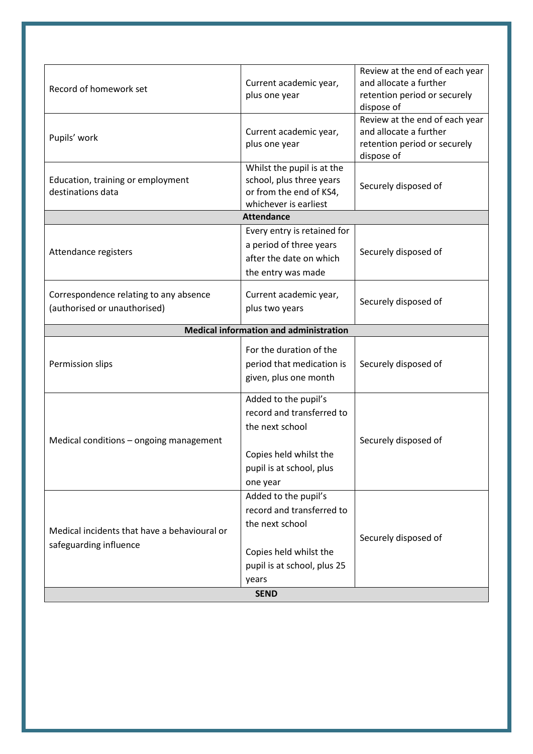| Record of homework set                                                 | Current academic year,<br>plus one year                                                                                                               | Review at the end of each year<br>and allocate a further<br>retention period or securely<br>dispose of |
|------------------------------------------------------------------------|-------------------------------------------------------------------------------------------------------------------------------------------------------|--------------------------------------------------------------------------------------------------------|
| Pupils' work                                                           | Current academic year,<br>plus one year                                                                                                               | Review at the end of each year<br>and allocate a further<br>retention period or securely<br>dispose of |
| Education, training or employment<br>destinations data                 | Whilst the pupil is at the<br>school, plus three years<br>or from the end of KS4,<br>whichever is earliest                                            | Securely disposed of                                                                                   |
|                                                                        | <b>Attendance</b>                                                                                                                                     |                                                                                                        |
| Attendance registers                                                   | Every entry is retained for<br>a period of three years<br>after the date on which<br>the entry was made                                               | Securely disposed of                                                                                   |
| Correspondence relating to any absence<br>(authorised or unauthorised) | Current academic year,<br>plus two years                                                                                                              | Securely disposed of                                                                                   |
|                                                                        | <b>Medical information and administration</b>                                                                                                         |                                                                                                        |
| Permission slips                                                       | For the duration of the<br>period that medication is<br>given, plus one month                                                                         | Securely disposed of                                                                                   |
| Medical conditions - ongoing management                                | Added to the pupil's<br>record and transferred to<br>the next school<br>Copies held whilst the<br>pupil is at school, plus<br>one year                | Securely disposed of                                                                                   |
| Medical incidents that have a behavioural or<br>safeguarding influence | Added to the pupil's<br>record and transferred to<br>the next school<br>Copies held whilst the<br>pupil is at school, plus 25<br>years<br><b>SEND</b> | Securely disposed of                                                                                   |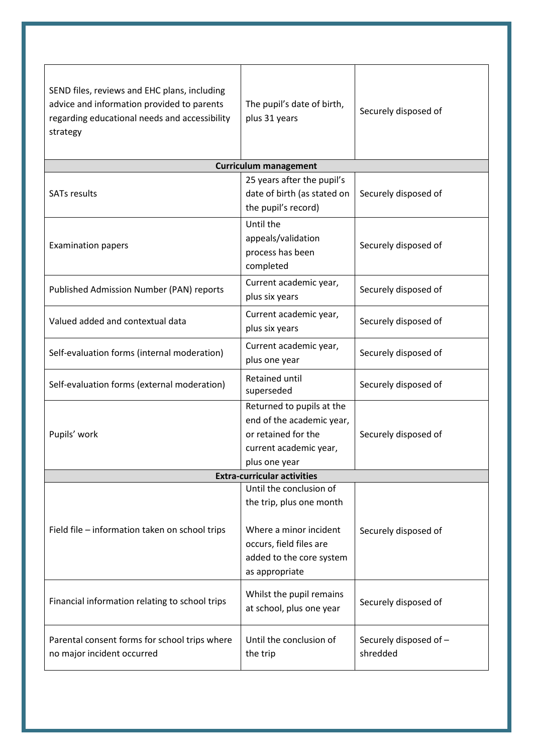| SEND files, reviews and EHC plans, including<br>advice and information provided to parents<br>regarding educational needs and accessibility<br>strategy | The pupil's date of birth,<br>plus 31 years                                                                                                            | Securely disposed of               |
|---------------------------------------------------------------------------------------------------------------------------------------------------------|--------------------------------------------------------------------------------------------------------------------------------------------------------|------------------------------------|
|                                                                                                                                                         | <b>Curriculum management</b>                                                                                                                           |                                    |
| <b>SATs results</b>                                                                                                                                     | 25 years after the pupil's<br>date of birth (as stated on<br>the pupil's record)                                                                       | Securely disposed of               |
| <b>Examination papers</b>                                                                                                                               | Until the<br>appeals/validation<br>process has been<br>completed                                                                                       | Securely disposed of               |
| Published Admission Number (PAN) reports                                                                                                                | Current academic year,<br>plus six years                                                                                                               | Securely disposed of               |
| Valued added and contextual data                                                                                                                        | Current academic year,<br>plus six years                                                                                                               | Securely disposed of               |
| Self-evaluation forms (internal moderation)                                                                                                             | Current academic year,<br>plus one year                                                                                                                | Securely disposed of               |
| Self-evaluation forms (external moderation)                                                                                                             | <b>Retained until</b><br>superseded                                                                                                                    | Securely disposed of               |
| Pupils' work                                                                                                                                            | Returned to pupils at the<br>end of the academic year,<br>or retained for the<br>current academic year,<br>plus one year                               | Securely disposed of               |
|                                                                                                                                                         | <b>Extra-curricular activities</b>                                                                                                                     |                                    |
| Field file - information taken on school trips                                                                                                          | Until the conclusion of<br>the trip, plus one month<br>Where a minor incident<br>occurs, field files are<br>added to the core system<br>as appropriate | Securely disposed of               |
| Financial information relating to school trips                                                                                                          | Whilst the pupil remains<br>at school, plus one year                                                                                                   | Securely disposed of               |
| Parental consent forms for school trips where<br>no major incident occurred                                                                             | Until the conclusion of<br>the trip                                                                                                                    | Securely disposed of -<br>shredded |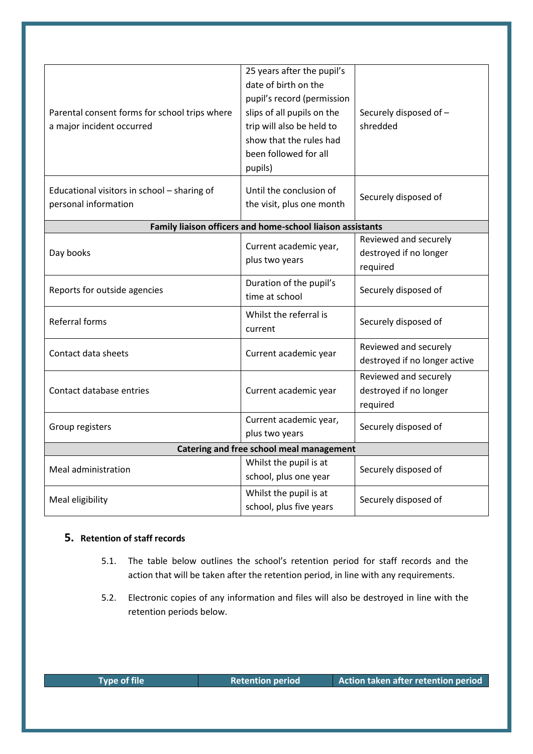| Parental consent forms for school trips where<br>a major incident occurred | 25 years after the pupil's<br>date of birth on the<br>pupil's record (permission<br>slips of all pupils on the<br>trip will also be held to<br>show that the rules had<br>been followed for all<br>pupils) | Securely disposed of -<br>shredded                          |
|----------------------------------------------------------------------------|------------------------------------------------------------------------------------------------------------------------------------------------------------------------------------------------------------|-------------------------------------------------------------|
| Educational visitors in school - sharing of<br>personal information        | Until the conclusion of<br>the visit, plus one month                                                                                                                                                       | Securely disposed of                                        |
|                                                                            | Family liaison officers and home-school liaison assistants                                                                                                                                                 |                                                             |
| Day books                                                                  | Current academic year,<br>plus two years                                                                                                                                                                   | Reviewed and securely<br>destroyed if no longer<br>required |
| Reports for outside agencies                                               | Duration of the pupil's<br>time at school                                                                                                                                                                  | Securely disposed of                                        |
| Referral forms                                                             | Whilst the referral is<br>current                                                                                                                                                                          | Securely disposed of                                        |
| Contact data sheets                                                        | Current academic year                                                                                                                                                                                      | Reviewed and securely<br>destroyed if no longer active      |
| Contact database entries                                                   | Current academic year                                                                                                                                                                                      | Reviewed and securely<br>destroyed if no longer<br>required |
| Group registers                                                            | Current academic year,<br>plus two years                                                                                                                                                                   | Securely disposed of                                        |
| Catering and free school meal management                                   |                                                                                                                                                                                                            |                                                             |
| Meal administration                                                        | Whilst the pupil is at<br>school, plus one year                                                                                                                                                            | Securely disposed of                                        |
| Meal eligibility                                                           | Whilst the pupil is at<br>school, plus five years                                                                                                                                                          | Securely disposed of                                        |

# **5. Retention of staff records**

- 5.1. The table below outlines the school's retention period for staff records and the action that will be taken after the retention period, in line with any requirements.
- 5.2. Electronic copies of any information and files will also be destroyed in line with the retention periods below.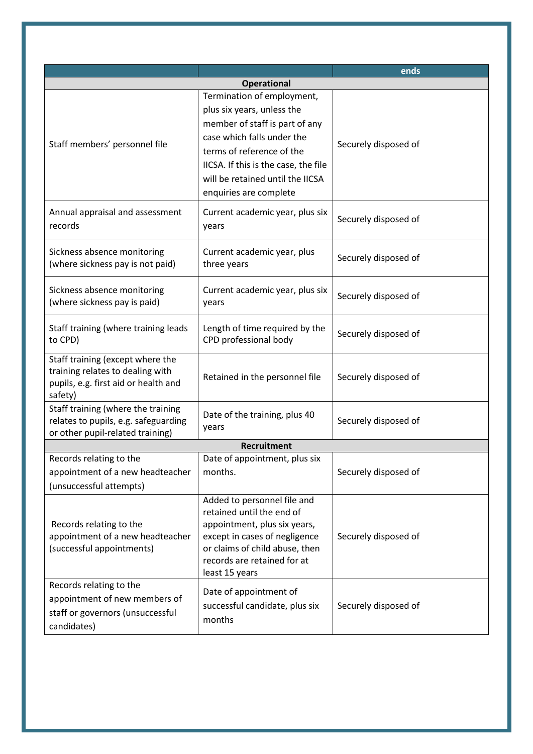|                                                                                                                         |                                                                                                                                                                                                                                                             | ends                 |
|-------------------------------------------------------------------------------------------------------------------------|-------------------------------------------------------------------------------------------------------------------------------------------------------------------------------------------------------------------------------------------------------------|----------------------|
|                                                                                                                         | <b>Operational</b>                                                                                                                                                                                                                                          |                      |
| Staff members' personnel file                                                                                           | Termination of employment,<br>plus six years, unless the<br>member of staff is part of any<br>case which falls under the<br>terms of reference of the<br>IICSA. If this is the case, the file<br>will be retained until the IICSA<br>enquiries are complete | Securely disposed of |
| Annual appraisal and assessment<br>records                                                                              | Current academic year, plus six<br>years                                                                                                                                                                                                                    | Securely disposed of |
| Sickness absence monitoring<br>(where sickness pay is not paid)                                                         | Current academic year, plus<br>three years                                                                                                                                                                                                                  | Securely disposed of |
| Sickness absence monitoring<br>(where sickness pay is paid)                                                             | Current academic year, plus six<br>years                                                                                                                                                                                                                    | Securely disposed of |
| Staff training (where training leads<br>to CPD)                                                                         | Length of time required by the<br>CPD professional body                                                                                                                                                                                                     | Securely disposed of |
| Staff training (except where the<br>training relates to dealing with<br>pupils, e.g. first aid or health and<br>safety) | Retained in the personnel file                                                                                                                                                                                                                              | Securely disposed of |
| Staff training (where the training<br>relates to pupils, e.g. safeguarding<br>or other pupil-related training)          | Date of the training, plus 40<br>years                                                                                                                                                                                                                      | Securely disposed of |
|                                                                                                                         | <b>Recruitment</b>                                                                                                                                                                                                                                          |                      |
| Records relating to the<br>appointment of a new headteacher<br>(unsuccessful attempts)                                  | Date of appointment, plus six<br>months.                                                                                                                                                                                                                    | Securely disposed of |
| Records relating to the<br>appointment of a new headteacher<br>(successful appointments)                                | Added to personnel file and<br>retained until the end of<br>appointment, plus six years,<br>except in cases of negligence<br>or claims of child abuse, then<br>records are retained for at<br>least 15 years                                                | Securely disposed of |
| Records relating to the<br>appointment of new members of<br>staff or governors (unsuccessful<br>candidates)             | Date of appointment of<br>successful candidate, plus six<br>months                                                                                                                                                                                          | Securely disposed of |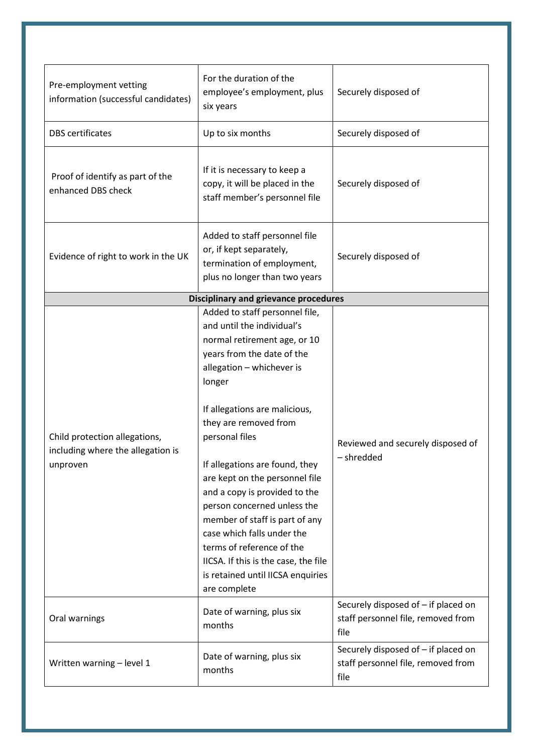<span id="page-11-0"></span>

| Pre-employment vetting<br>information (successful candidates)                  | For the duration of the<br>employee's employment, plus<br>six years                                                                                                                                                                                                                                                                                                                                                                                                                                                                                                         | Securely disposed of                                                              |
|--------------------------------------------------------------------------------|-----------------------------------------------------------------------------------------------------------------------------------------------------------------------------------------------------------------------------------------------------------------------------------------------------------------------------------------------------------------------------------------------------------------------------------------------------------------------------------------------------------------------------------------------------------------------------|-----------------------------------------------------------------------------------|
| <b>DBS</b> certificates                                                        | Up to six months                                                                                                                                                                                                                                                                                                                                                                                                                                                                                                                                                            | Securely disposed of                                                              |
| Proof of identify as part of the<br>enhanced DBS check                         | If it is necessary to keep a<br>copy, it will be placed in the<br>staff member's personnel file                                                                                                                                                                                                                                                                                                                                                                                                                                                                             | Securely disposed of                                                              |
| Evidence of right to work in the UK                                            | Added to staff personnel file<br>or, if kept separately,<br>termination of employment,<br>plus no longer than two years                                                                                                                                                                                                                                                                                                                                                                                                                                                     | Securely disposed of                                                              |
|                                                                                | <b>Disciplinary and grievance procedures</b>                                                                                                                                                                                                                                                                                                                                                                                                                                                                                                                                |                                                                                   |
| Child protection allegations,<br>including where the allegation is<br>unproven | Added to staff personnel file,<br>and until the individual's<br>normal retirement age, or 10<br>years from the date of the<br>allegation - whichever is<br>longer<br>If allegations are malicious,<br>they are removed from<br>personal files<br>If allegations are found, they<br>are kept on the personnel file<br>and a copy is provided to the<br>person concerned unless the<br>member of staff is part of any<br>case which falls under the<br>terms of reference of the<br>IICSA. If this is the case, the file<br>is retained until IICSA enquiries<br>are complete | Reviewed and securely disposed of<br>- shredded                                   |
| Oral warnings                                                                  | Date of warning, plus six<br>months                                                                                                                                                                                                                                                                                                                                                                                                                                                                                                                                         | Securely disposed of - if placed on<br>staff personnel file, removed from<br>file |
| Written warning - level 1                                                      | Date of warning, plus six<br>months                                                                                                                                                                                                                                                                                                                                                                                                                                                                                                                                         | Securely disposed of - if placed on<br>staff personnel file, removed from<br>file |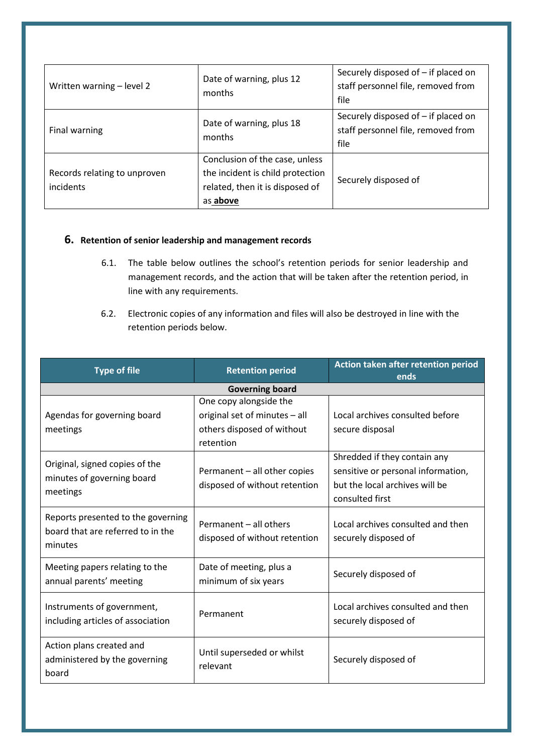| Written warning - level 2                 | Date of warning, plus 12<br>months                                                                                | Securely disposed of - if placed on<br>staff personnel file, removed from<br>file |
|-------------------------------------------|-------------------------------------------------------------------------------------------------------------------|-----------------------------------------------------------------------------------|
| Final warning                             | Date of warning, plus 18<br>months                                                                                | Securely disposed of – if placed on<br>staff personnel file, removed from<br>file |
| Records relating to unproven<br>incidents | Conclusion of the case, unless<br>the incident is child protection<br>related, then it is disposed of<br>as above | Securely disposed of                                                              |

# **6. Retention of senior leadership and management records**

- 6.1. The table below outlines the school's retention periods for senior leadership and management records, and the action that will be taken after the retention period, in line with any requirements.
- 6.2. Electronic copies of any information and files will also be destroyed in line with the retention periods below.

| <b>Type of file</b>                                                                | <b>Retention period</b>                                       | Action taken after retention period<br>ends                                                                             |  |
|------------------------------------------------------------------------------------|---------------------------------------------------------------|-------------------------------------------------------------------------------------------------------------------------|--|
|                                                                                    | <b>Governing board</b>                                        |                                                                                                                         |  |
|                                                                                    | One copy alongside the                                        |                                                                                                                         |  |
| Agendas for governing board                                                        | original set of minutes - all                                 | Local archives consulted before                                                                                         |  |
| meetings                                                                           | others disposed of without                                    | secure disposal                                                                                                         |  |
|                                                                                    | retention                                                     |                                                                                                                         |  |
| Original, signed copies of the<br>minutes of governing board<br>meetings           | Permanent - all other copies<br>disposed of without retention | Shredded if they contain any<br>sensitive or personal information,<br>but the local archives will be<br>consulted first |  |
| Reports presented to the governing<br>board that are referred to in the<br>minutes | Permanent - all others<br>disposed of without retention       | Local archives consulted and then<br>securely disposed of                                                               |  |
| Meeting papers relating to the<br>annual parents' meeting                          | Date of meeting, plus a<br>minimum of six years               | Securely disposed of                                                                                                    |  |
| Instruments of government,<br>including articles of association                    | Permanent                                                     | Local archives consulted and then<br>securely disposed of                                                               |  |
| Action plans created and<br>administered by the governing<br>board                 | Until superseded or whilst<br>relevant                        | Securely disposed of                                                                                                    |  |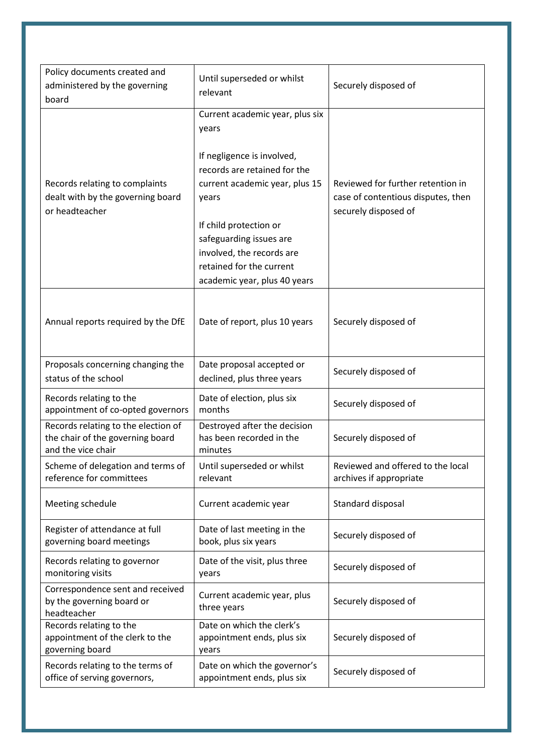| Policy documents created and<br>administered by the governing<br>board                        | Until superseded or whilst<br>relevant                                                                                                                                                                                                                                                          | Securely disposed of                                                                            |
|-----------------------------------------------------------------------------------------------|-------------------------------------------------------------------------------------------------------------------------------------------------------------------------------------------------------------------------------------------------------------------------------------------------|-------------------------------------------------------------------------------------------------|
| Records relating to complaints<br>dealt with by the governing board<br>or headteacher         | Current academic year, plus six<br>years<br>If negligence is involved,<br>records are retained for the<br>current academic year, plus 15<br>years<br>If child protection or<br>safeguarding issues are<br>involved, the records are<br>retained for the current<br>academic year, plus 40 years | Reviewed for further retention in<br>case of contentious disputes, then<br>securely disposed of |
| Annual reports required by the DfE                                                            | Date of report, plus 10 years                                                                                                                                                                                                                                                                   | Securely disposed of                                                                            |
| Proposals concerning changing the<br>status of the school                                     | Date proposal accepted or<br>declined, plus three years                                                                                                                                                                                                                                         | Securely disposed of                                                                            |
| Records relating to the<br>appointment of co-opted governors                                  | Date of election, plus six<br>months                                                                                                                                                                                                                                                            | Securely disposed of                                                                            |
| Records relating to the election of<br>the chair of the governing board<br>and the vice chair | Destroyed after the decision<br>has been recorded in the<br>minutes                                                                                                                                                                                                                             | Securely disposed of                                                                            |
| Scheme of delegation and terms of<br>reference for committees                                 | Until superseded or whilst<br>relevant                                                                                                                                                                                                                                                          | Reviewed and offered to the local<br>archives if appropriate                                    |
| Meeting schedule                                                                              | Current academic year                                                                                                                                                                                                                                                                           | Standard disposal                                                                               |
| Register of attendance at full<br>governing board meetings                                    | Date of last meeting in the<br>book, plus six years                                                                                                                                                                                                                                             | Securely disposed of                                                                            |
| Records relating to governor<br>monitoring visits                                             | Date of the visit, plus three<br>years                                                                                                                                                                                                                                                          | Securely disposed of                                                                            |
| Correspondence sent and received<br>by the governing board or<br>headteacher                  | Current academic year, plus<br>three years                                                                                                                                                                                                                                                      | Securely disposed of                                                                            |
| Records relating to the<br>appointment of the clerk to the<br>governing board                 | Date on which the clerk's<br>appointment ends, plus six<br>years                                                                                                                                                                                                                                | Securely disposed of                                                                            |
| Records relating to the terms of<br>office of serving governors,                              | Date on which the governor's<br>appointment ends, plus six                                                                                                                                                                                                                                      | Securely disposed of                                                                            |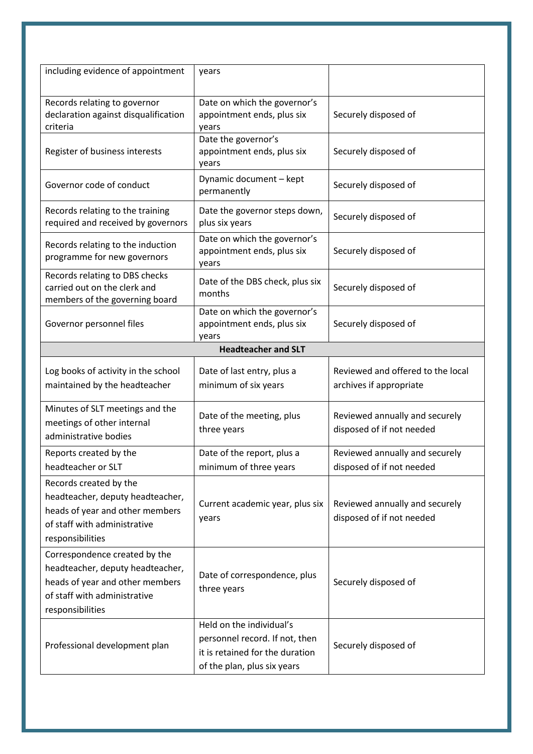| including evidence of appointment                                                                                                                        | years                                                                                                                        |                                                              |
|----------------------------------------------------------------------------------------------------------------------------------------------------------|------------------------------------------------------------------------------------------------------------------------------|--------------------------------------------------------------|
| Records relating to governor<br>declaration against disqualification<br>criteria                                                                         | Date on which the governor's<br>appointment ends, plus six<br>years                                                          | Securely disposed of                                         |
| Register of business interests                                                                                                                           | Date the governor's<br>appointment ends, plus six<br>years                                                                   | Securely disposed of                                         |
| Governor code of conduct                                                                                                                                 | Dynamic document - kept<br>permanently                                                                                       | Securely disposed of                                         |
| Records relating to the training<br>required and received by governors                                                                                   | Date the governor steps down,<br>plus six years                                                                              | Securely disposed of                                         |
| Records relating to the induction<br>programme for new governors                                                                                         | Date on which the governor's<br>appointment ends, plus six<br>years                                                          | Securely disposed of                                         |
| Records relating to DBS checks<br>carried out on the clerk and<br>members of the governing board                                                         | Date of the DBS check, plus six<br>months                                                                                    | Securely disposed of                                         |
| Governor personnel files                                                                                                                                 | Date on which the governor's<br>appointment ends, plus six<br>years                                                          | Securely disposed of                                         |
|                                                                                                                                                          | <b>Headteacher and SLT</b>                                                                                                   |                                                              |
| Log books of activity in the school<br>maintained by the headteacher                                                                                     | Date of last entry, plus a<br>minimum of six years                                                                           | Reviewed and offered to the local<br>archives if appropriate |
| Minutes of SLT meetings and the<br>meetings of other internal<br>administrative bodies                                                                   | Date of the meeting, plus<br>three years                                                                                     | Reviewed annually and securely<br>disposed of if not needed  |
| Reports created by the<br>headteacher or SLT                                                                                                             | Date of the report, plus a<br>minimum of three years                                                                         | Reviewed annually and securely<br>disposed of if not needed  |
| Records created by the<br>headteacher, deputy headteacher,<br>heads of year and other members<br>of staff with administrative<br>responsibilities        | Current academic year, plus six<br>years                                                                                     | Reviewed annually and securely<br>disposed of if not needed  |
| Correspondence created by the<br>headteacher, deputy headteacher,<br>heads of year and other members<br>of staff with administrative<br>responsibilities | Date of correspondence, plus<br>three years                                                                                  | Securely disposed of                                         |
| Professional development plan                                                                                                                            | Held on the individual's<br>personnel record. If not, then<br>it is retained for the duration<br>of the plan, plus six years | Securely disposed of                                         |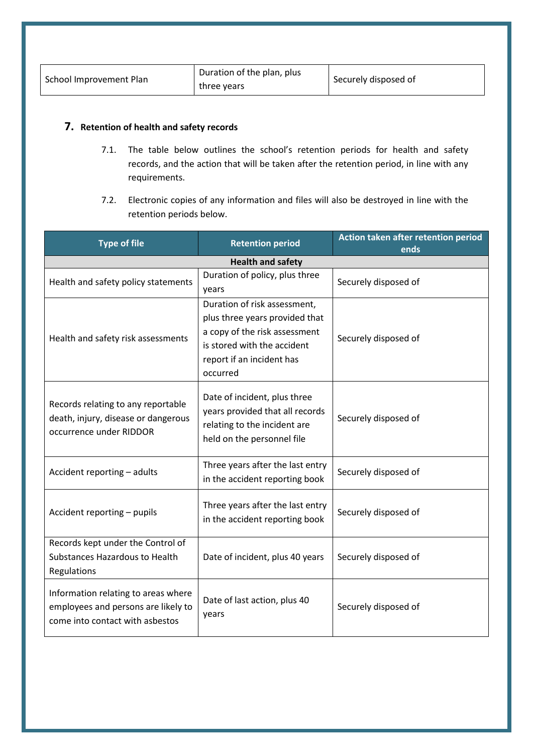| Duration of the plan, plus<br>School Improvement Plan<br>three years | Securely disposed of |
|----------------------------------------------------------------------|----------------------|
|----------------------------------------------------------------------|----------------------|

# **7. Retention of health and safety records**

- 7.1. The table below outlines the school's retention periods for health and safety records, and the action that will be taken after the retention period, in line with any requirements.
- 7.2. Electronic copies of any information and files will also be destroyed in line with the retention periods below.

| <b>Type of file</b>                                                                                           | <b>Retention period</b>                                                                                                                                                 | Action taken after retention period<br>ends |
|---------------------------------------------------------------------------------------------------------------|-------------------------------------------------------------------------------------------------------------------------------------------------------------------------|---------------------------------------------|
|                                                                                                               | <b>Health and safety</b>                                                                                                                                                |                                             |
| Health and safety policy statements                                                                           | Duration of policy, plus three<br>years                                                                                                                                 | Securely disposed of                        |
| Health and safety risk assessments                                                                            | Duration of risk assessment,<br>plus three years provided that<br>a copy of the risk assessment<br>is stored with the accident<br>report if an incident has<br>occurred | Securely disposed of                        |
| Records relating to any reportable<br>death, injury, disease or dangerous<br>occurrence under RIDDOR          | Date of incident, plus three<br>years provided that all records<br>relating to the incident are<br>held on the personnel file                                           | Securely disposed of                        |
| Accident reporting - adults                                                                                   | Three years after the last entry<br>in the accident reporting book                                                                                                      | Securely disposed of                        |
| Accident reporting - pupils                                                                                   | Three years after the last entry<br>in the accident reporting book                                                                                                      | Securely disposed of                        |
| Records kept under the Control of<br>Substances Hazardous to Health<br>Regulations                            | Date of incident, plus 40 years                                                                                                                                         | Securely disposed of                        |
| Information relating to areas where<br>employees and persons are likely to<br>come into contact with asbestos | Date of last action, plus 40<br>years                                                                                                                                   | Securely disposed of                        |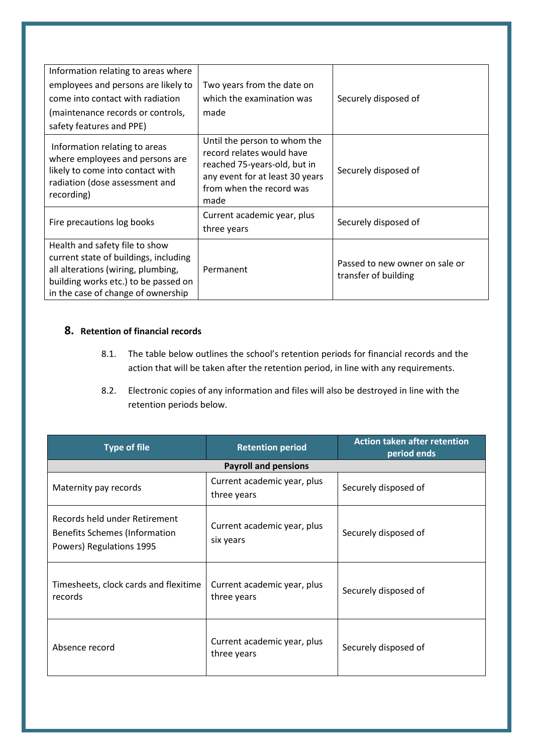| Information relating to areas where                                                                                                                                                         |                                                                                                                                                                  |                                                        |
|---------------------------------------------------------------------------------------------------------------------------------------------------------------------------------------------|------------------------------------------------------------------------------------------------------------------------------------------------------------------|--------------------------------------------------------|
| employees and persons are likely to                                                                                                                                                         | Two years from the date on                                                                                                                                       |                                                        |
| come into contact with radiation                                                                                                                                                            | which the examination was                                                                                                                                        | Securely disposed of                                   |
| (maintenance records or controls,                                                                                                                                                           | made                                                                                                                                                             |                                                        |
| safety features and PPE)                                                                                                                                                                    |                                                                                                                                                                  |                                                        |
| Information relating to areas<br>where employees and persons are<br>likely to come into contact with<br>radiation (dose assessment and<br>recording)                                        | Until the person to whom the<br>record relates would have<br>reached 75-years-old, but in<br>any event for at least 30 years<br>from when the record was<br>made | Securely disposed of                                   |
| Fire precautions log books                                                                                                                                                                  | Current academic year, plus<br>three years                                                                                                                       | Securely disposed of                                   |
| Health and safety file to show<br>current state of buildings, including<br>all alterations (wiring, plumbing,<br>building works etc.) to be passed on<br>in the case of change of ownership | Permanent                                                                                                                                                        | Passed to new owner on sale or<br>transfer of building |

# <span id="page-16-0"></span>**8. Retention of financial records**

- 8.1. The table below outlines the school's retention periods for financial records and the action that will be taken after the retention period, in line with any requirements.
- 8.2. Electronic copies of any information and files will also be destroyed in line with the retention periods below.

| <b>Type of file</b>                                                                               | <b>Retention period</b>                    | <b>Action taken after retention</b><br>period ends |
|---------------------------------------------------------------------------------------------------|--------------------------------------------|----------------------------------------------------|
|                                                                                                   | <b>Payroll and pensions</b>                |                                                    |
| Maternity pay records                                                                             | Current academic year, plus<br>three years | Securely disposed of                               |
| Records held under Retirement<br><b>Benefits Schemes (Information</b><br>Powers) Regulations 1995 | Current academic year, plus<br>six years   | Securely disposed of                               |
| Timesheets, clock cards and flexitime<br>records                                                  | Current academic year, plus<br>three years | Securely disposed of                               |
| Absence record                                                                                    | Current academic year, plus<br>three years | Securely disposed of                               |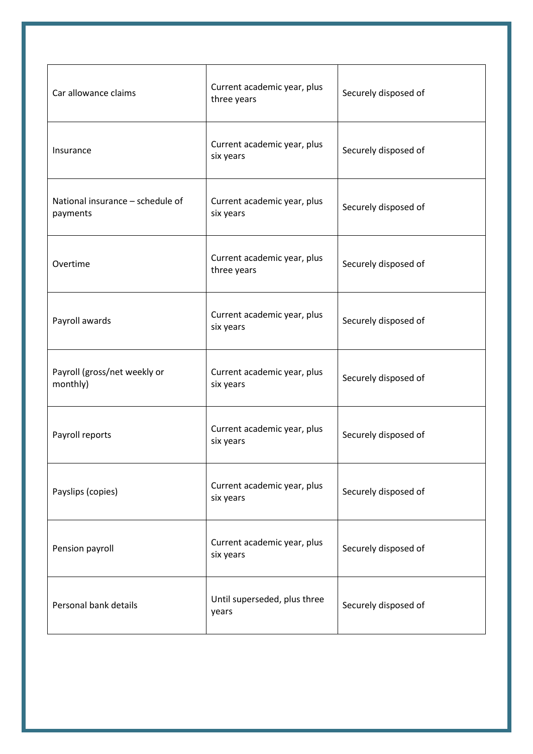| Car allowance claims                         | Current academic year, plus<br>three years | Securely disposed of |
|----------------------------------------------|--------------------------------------------|----------------------|
| Insurance                                    | Current academic year, plus<br>six years   | Securely disposed of |
| National insurance - schedule of<br>payments | Current academic year, plus<br>six years   | Securely disposed of |
| Overtime                                     | Current academic year, plus<br>three years | Securely disposed of |
| Payroll awards                               | Current academic year, plus<br>six years   | Securely disposed of |
| Payroll (gross/net weekly or<br>monthly)     | Current academic year, plus<br>six years   | Securely disposed of |
| Payroll reports                              | Current academic year, plus<br>six years   | Securely disposed of |
| Payslips (copies)                            | Current academic year, plus<br>six years   | Securely disposed of |
| Pension payroll                              | Current academic year, plus<br>six years   | Securely disposed of |
| Personal bank details                        | Until superseded, plus three<br>years      | Securely disposed of |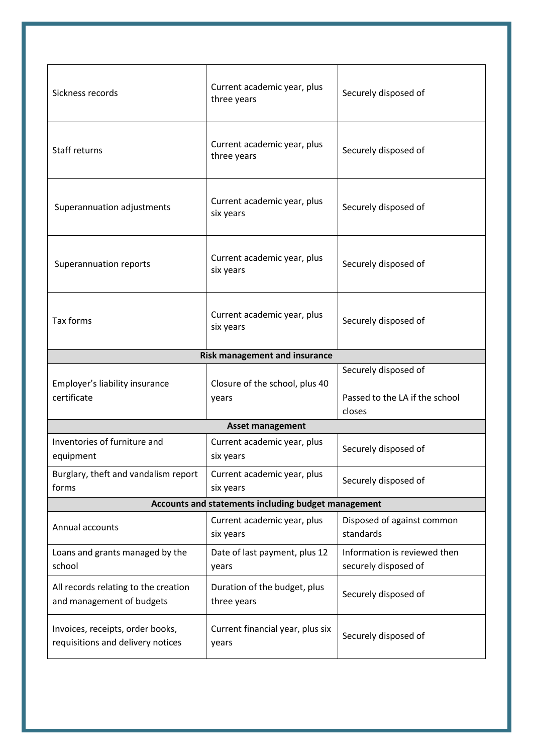| Sickness records                                                      | Current academic year, plus<br>three years  | Securely disposed of                                             |  |
|-----------------------------------------------------------------------|---------------------------------------------|------------------------------------------------------------------|--|
| Staff returns                                                         | Current academic year, plus<br>three years  | Securely disposed of                                             |  |
| Superannuation adjustments                                            | Current academic year, plus<br>six years    | Securely disposed of                                             |  |
| Superannuation reports                                                | Current academic year, plus<br>six years    | Securely disposed of                                             |  |
| Tax forms                                                             | Current academic year, plus<br>six years    | Securely disposed of                                             |  |
| <b>Risk management and insurance</b>                                  |                                             |                                                                  |  |
| Employer's liability insurance<br>certificate                         | Closure of the school, plus 40<br>years     | Securely disposed of<br>Passed to the LA if the school<br>closes |  |
|                                                                       | <b>Asset management</b>                     |                                                                  |  |
| Inventories of furniture and<br>equipment                             | Current academic year, plus<br>six years    | Securely disposed of                                             |  |
| Burglary, theft and vandalism report<br>forms                         | Current academic year, plus<br>six years    | Securely disposed of                                             |  |
| Accounts and statements including budget management                   |                                             |                                                                  |  |
| Annual accounts                                                       | Current academic year, plus<br>six years    | Disposed of against common<br>standards                          |  |
| Loans and grants managed by the<br>school                             | Date of last payment, plus 12<br>years      | Information is reviewed then<br>securely disposed of             |  |
| All records relating to the creation<br>and management of budgets     | Duration of the budget, plus<br>three years | Securely disposed of                                             |  |
| Invoices, receipts, order books,<br>requisitions and delivery notices | Current financial year, plus six<br>years   | Securely disposed of                                             |  |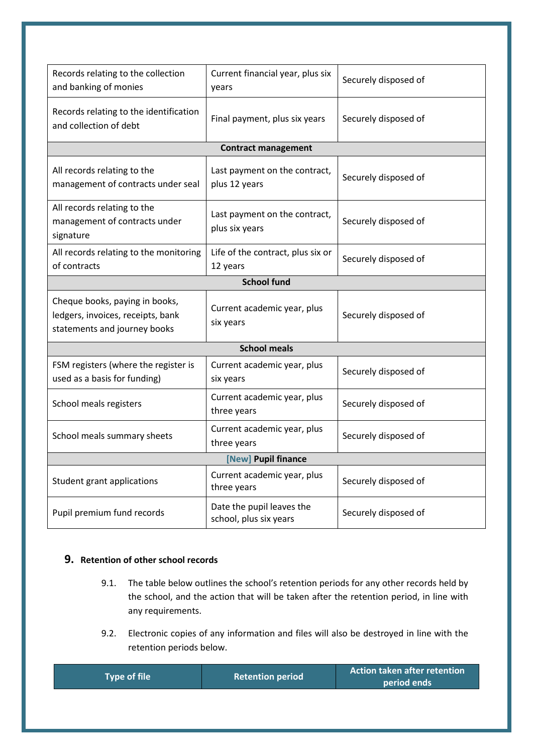| Records relating to the collection                                                                  | Current financial year, plus six                |                      |  |
|-----------------------------------------------------------------------------------------------------|-------------------------------------------------|----------------------|--|
| and banking of monies                                                                               | years                                           | Securely disposed of |  |
|                                                                                                     |                                                 |                      |  |
| Records relating to the identification<br>and collection of debt                                    | Final payment, plus six years                   | Securely disposed of |  |
|                                                                                                     | <b>Contract management</b>                      |                      |  |
| All records relating to the<br>management of contracts under seal                                   | Last payment on the contract,<br>plus 12 years  | Securely disposed of |  |
| All records relating to the<br>management of contracts under<br>signature                           | Last payment on the contract,<br>plus six years | Securely disposed of |  |
| All records relating to the monitoring<br>of contracts                                              | Life of the contract, plus six or<br>12 years   | Securely disposed of |  |
|                                                                                                     | <b>School fund</b>                              |                      |  |
| Cheque books, paying in books,<br>ledgers, invoices, receipts, bank<br>statements and journey books | Current academic year, plus<br>six years        | Securely disposed of |  |
| <b>School meals</b>                                                                                 |                                                 |                      |  |
|                                                                                                     |                                                 |                      |  |
| FSM registers (where the register is<br>used as a basis for funding)                                | Current academic year, plus<br>six years        | Securely disposed of |  |
| School meals registers                                                                              | Current academic year, plus<br>three years      | Securely disposed of |  |
| School meals summary sheets                                                                         | Current academic year, plus<br>three years      | Securely disposed of |  |
|                                                                                                     | [New] Pupil finance                             |                      |  |
| Student grant applications                                                                          | Current academic year, plus<br>three years      | Securely disposed of |  |

# **9. Retention of other school records**

- 9.1. The table below outlines the school's retention periods for any other records held by the school, and the action that will be taken after the retention period, in line with any requirements.
- 9.2. Electronic copies of any information and files will also be destroyed in line with the retention periods below.

| <b>Action taken after retention</b><br><b>Type of file</b><br><b>Retention period</b><br>period ends |
|------------------------------------------------------------------------------------------------------|
|------------------------------------------------------------------------------------------------------|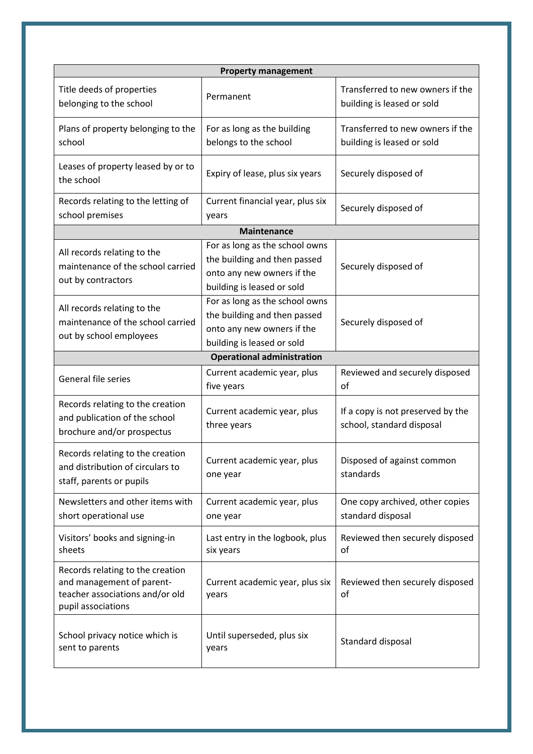| <b>Property management</b>                                                                                             |                                                                                                                            |                                                                |
|------------------------------------------------------------------------------------------------------------------------|----------------------------------------------------------------------------------------------------------------------------|----------------------------------------------------------------|
| Title deeds of properties<br>belonging to the school                                                                   | Permanent                                                                                                                  | Transferred to new owners if the<br>building is leased or sold |
| Plans of property belonging to the<br>school                                                                           | For as long as the building<br>belongs to the school                                                                       | Transferred to new owners if the<br>building is leased or sold |
| Leases of property leased by or to<br>the school                                                                       | Expiry of lease, plus six years                                                                                            | Securely disposed of                                           |
| Records relating to the letting of<br>school premises                                                                  | Current financial year, plus six<br>years                                                                                  | Securely disposed of                                           |
|                                                                                                                        | <b>Maintenance</b>                                                                                                         |                                                                |
| All records relating to the<br>maintenance of the school carried<br>out by contractors                                 | For as long as the school owns<br>the building and then passed<br>onto any new owners if the<br>building is leased or sold | Securely disposed of                                           |
| All records relating to the<br>maintenance of the school carried<br>out by school employees                            | For as long as the school owns<br>the building and then passed<br>onto any new owners if the<br>building is leased or sold | Securely disposed of                                           |
|                                                                                                                        | <b>Operational administration</b>                                                                                          |                                                                |
| General file series                                                                                                    | Current academic year, plus<br>five years                                                                                  | Reviewed and securely disposed<br>of                           |
| Records relating to the creation<br>and publication of the school<br>brochure and/or prospectus                        | Current academic year, plus<br>three years                                                                                 | If a copy is not preserved by the<br>school, standard disposal |
| Records relating to the creation<br>and distribution of circulars to<br>staff, parents or pupils                       | Current academic year, plus<br>one year                                                                                    | Disposed of against common<br>standards                        |
| Newsletters and other items with<br>short operational use                                                              | Current academic year, plus<br>one year                                                                                    | One copy archived, other copies<br>standard disposal           |
| Visitors' books and signing-in<br>sheets                                                                               | Last entry in the logbook, plus<br>six years                                                                               | Reviewed then securely disposed<br>of                          |
| Records relating to the creation<br>and management of parent-<br>teacher associations and/or old<br>pupil associations | Current academic year, plus six<br>years                                                                                   | Reviewed then securely disposed<br>of                          |
| School privacy notice which is<br>sent to parents                                                                      | Until superseded, plus six<br>years                                                                                        | Standard disposal                                              |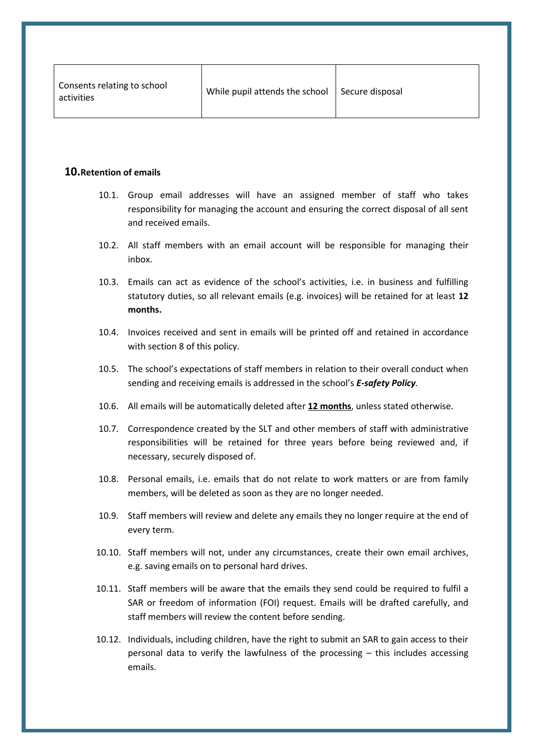| Consents relating to school<br>activities | While pupil attends the school | Secure disposal |
|-------------------------------------------|--------------------------------|-----------------|
|-------------------------------------------|--------------------------------|-----------------|

# **10.Retention of emails**

- 10.1. Group email addresses will have an assigned member of staff who takes responsibility for managing the account and ensuring the correct disposal of all sent and received emails.
- 10.2. All staff members with an email account will be responsible for managing their inbox.
- 10.3. Emails can act as evidence of the school's activities, i.e. in business and fulfilling statutory duties, so all relevant emails (e.g. invoices) will be retained for at least **12 months.**
- 10.4. Invoices received and sent in emails will be printed off and retained in accordance with [section 8](#page-16-0) of this policy.
- 10.5. The school's expectations of staff members in relation to their overall conduct when sending and receiving emails is addressed in the school's *E-safety Policy.*
- 10.6. All emails will be automatically deleted after **12 months**, unless stated otherwise.
- 10.7. Correspondence created by the SLT and other members of staff with administrative responsibilities will be retained for three years before being reviewed and, if necessary, securely disposed of.
- 10.8. Personal emails, i.e. emails that do not relate to work matters or are from family members, will be deleted as soon as they are no longer needed.
- 10.9. Staff members will review and delete any emails they no longer require at the end of every term.
- 10.10. Staff members will not, under any circumstances, create their own email archives, e.g. saving emails on to personal hard drives.
- 10.11. Staff members will be aware that the emails they send could be required to fulfil a SAR or freedom of information (FOI) request. Emails will be drafted carefully, and staff members will review the content before sending.
- 10.12. Individuals, including children, have the right to submit an SAR to gain access to their personal data to verify the lawfulness of the processing – this includes accessing emails.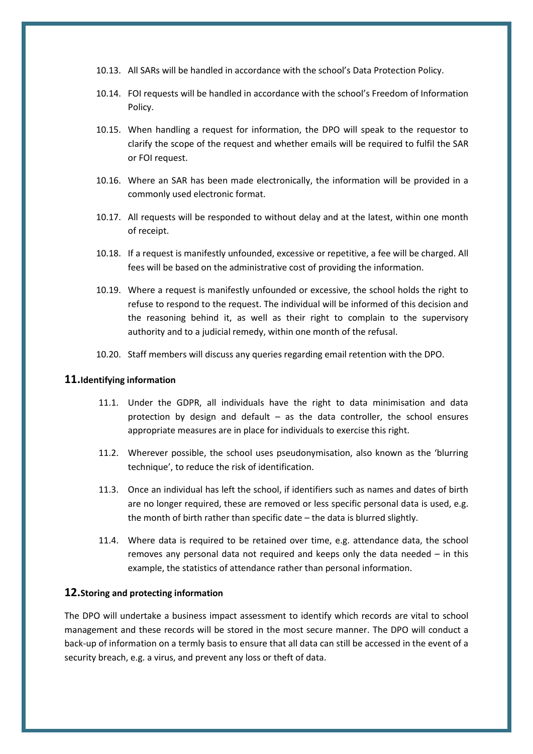- 10.13. All SARs will be handled in accordance with the school's Data Protection Policy.
- 10.14. FOI requests will be handled in accordance with the school's Freedom of Information Policy.
- 10.15. When handling a request for information, the DPO will speak to the requestor to clarify the scope of the request and whether emails will be required to fulfil the SAR or FOI request.
- 10.16. Where an SAR has been made electronically, the information will be provided in a commonly used electronic format.
- 10.17. All requests will be responded to without delay and at the latest, within one month of receipt.
- 10.18. If a request is manifestly unfounded, excessive or repetitive, a fee will be charged. All fees will be based on the administrative cost of providing the information.
- 10.19. Where a request is manifestly unfounded or excessive, the school holds the right to refuse to respond to the request. The individual will be informed of this decision and the reasoning behind it, as well as their right to complain to the supervisory authority and to a judicial remedy, within one month of the refusal.
- 10.20. Staff members will discuss any queries regarding email retention with the DPO.

#### **11.Identifying information**

- 11.1. Under the GDPR, all individuals have the right to data minimisation and data protection by design and default – as the data controller, the school ensures appropriate measures are in place for individuals to exercise this right.
- 11.2. Wherever possible, the school uses pseudonymisation, also known as the 'blurring technique', to reduce the risk of identification.
- 11.3. Once an individual has left the school, if identifiers such as names and dates of birth are no longer required, these are removed or less specific personal data is used, e.g. the month of birth rather than specific date – the data is blurred slightly.
- 11.4. Where data is required to be retained over time, e.g. attendance data, the school removes any personal data not required and keeps only the data needed – in this example, the statistics of attendance rather than personal information.

#### <span id="page-22-0"></span>**12.Storing and protecting information**

The DPO will undertake a business impact assessment to identify which records are vital to school management and these records will be stored in the most secure manner. The DPO will conduct a back-up of information on a termly basis to ensure that all data can still be accessed in the event of a security breach, e.g. a virus, and prevent any loss or theft of data.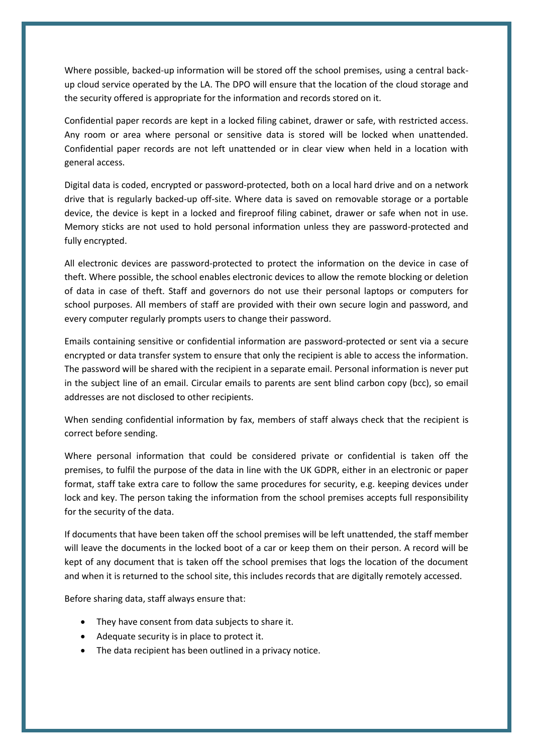Where possible, backed-up information will be stored off the school premises, using a central backup cloud service operated by the LA. The DPO will ensure that the location of the cloud storage and the security offered is appropriate for the information and records stored on it.

Confidential paper records are kept in a locked filing cabinet, drawer or safe, with restricted access. Any room or area where personal or sensitive data is stored will be locked when unattended. Confidential paper records are not left unattended or in clear view when held in a location with general access.

Digital data is coded, encrypted or password-protected, both on a local hard drive and on a network drive that is regularly backed-up off-site. Where data is saved on removable storage or a portable device, the device is kept in a locked and fireproof filing cabinet, drawer or safe when not in use. Memory sticks are not used to hold personal information unless they are password-protected and fully encrypted.

All electronic devices are password-protected to protect the information on the device in case of theft. Where possible, the school enables electronic devices to allow the remote blocking or deletion of data in case of theft. Staff and governors do not use their personal laptops or computers for school purposes. All members of staff are provided with their own secure login and password, and every computer regularly prompts users to change their password.

Emails containing sensitive or confidential information are password-protected or sent via a secure encrypted or data transfer system to ensure that only the recipient is able to access the information. The password will be shared with the recipient in a separate email. Personal information is never put in the subject line of an email. Circular emails to parents are sent blind carbon copy (bcc), so email addresses are not disclosed to other recipients.

When sending confidential information by fax, members of staff always check that the recipient is correct before sending.

Where personal information that could be considered private or confidential is taken off the premises, to fulfil the purpose of the data in line with the UK GDPR, either in an electronic or paper format, staff take extra care to follow the same procedures for security, e.g. keeping devices under lock and key. The person taking the information from the school premises accepts full responsibility for the security of the data.

If documents that have been taken off the school premises will be left unattended, the staff member will leave the documents in the locked boot of a car or keep them on their person. A record will be kept of any document that is taken off the school premises that logs the location of the document and when it is returned to the school site, this includes records that are digitally remotely accessed.

Before sharing data, staff always ensure that:

- They have consent from data subjects to share it.
- Adequate security is in place to protect it.
- The data recipient has been outlined in a privacy notice.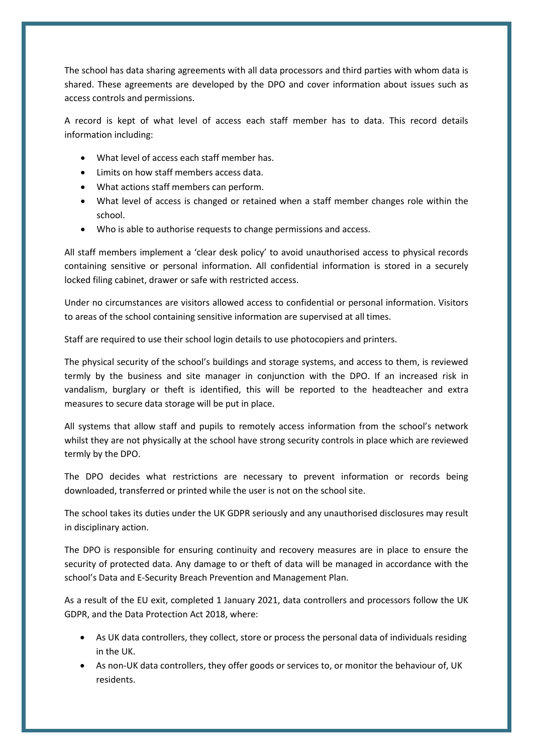The school has data sharing agreements with all data processors and third parties with whom data is shared. These agreements are developed by the DPO and cover information about issues such as access controls and permissions.

A record is kept of what level of access each staff member has to data. This record details information including:

- What level of access each staff member has.
- Limits on how staff members access data.
- What actions staff members can perform.
- What level of access is changed or retained when a staff member changes role within the school.
- Who is able to authorise requests to change permissions and access.

All staff members implement a 'clear desk policy' to avoid unauthorised access to physical records containing sensitive or personal information. All confidential information is stored in a securely locked filing cabinet, drawer or safe with restricted access.

Under no circumstances are visitors allowed access to confidential or personal information. Visitors to areas of the school containing sensitive information are supervised at all times.

Staff are required to use their school login details to use photocopiers and printers.

The physical security of the school's buildings and storage systems, and access to them, is reviewed termly by the business and site manager in conjunction with the DPO. If an increased risk in vandalism, burglary or theft is identified, this will be reported to the headteacher and extra measures to secure data storage will be put in place.

All systems that allow staff and pupils to remotely access information from the school's network whilst they are not physically at the school have strong security controls in place which are reviewed termly by the DPO.

The DPO decides what restrictions are necessary to prevent information or records being downloaded, transferred or printed while the user is not on the school site.

The school takes its duties under the UK GDPR seriously and any unauthorised disclosures may result in disciplinary action.

The DPO is responsible for ensuring continuity and recovery measures are in place to ensure the security of protected data. Any damage to or theft of data will be managed in accordance with the school's Data and E-Security Breach Prevention and Management Plan.

As a result of the EU exit, completed 1 January 2021, data controllers and processors follow the UK GDPR, and the Data Protection Act 2018, where:

- As UK data controllers, they collect, store or process the personal data of individuals residing in the UK.
- As non-UK data controllers, they offer goods or services to, or monitor the behaviour of, UK residents.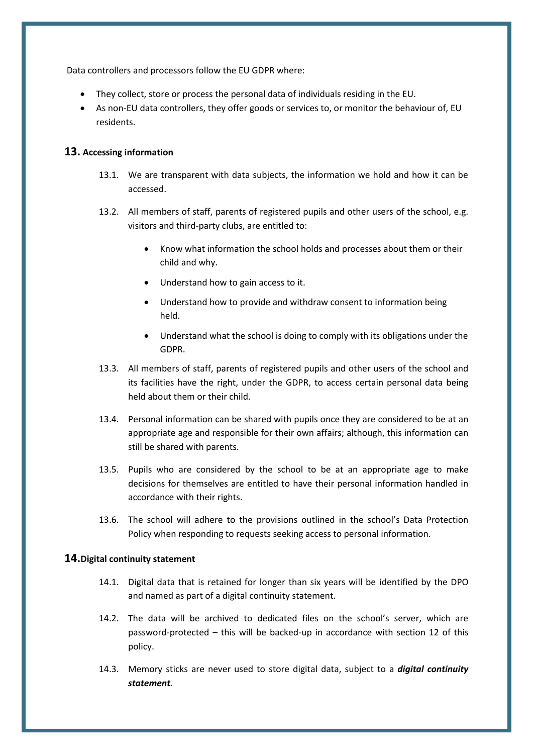Data controllers and processors follow the EU GDPR where:

- They collect, store or process the personal data of individuals residing in the EU.
- As non-EU data controllers, they offer goods or services to, or monitor the behaviour of, EU residents.

## **13. Accessing information**

- 13.1. We are transparent with data subjects, the information we hold and how it can be accessed.
- 13.2. All members of staff, parents of registered pupils and other users of the school, e.g. visitors and third-party clubs, are entitled to:
	- Know what information the school holds and processes about them or their child and why.
	- Understand how to gain access to it.
	- Understand how to provide and withdraw consent to information being held.
	- Understand what the school is doing to comply with its obligations under the GDPR.
- 13.3. All members of staff, parents of registered pupils and other users of the school and its facilities have the right, under the GDPR, to access certain personal data being held about them or their child.
- 13.4. Personal information can be shared with pupils once they are considered to be at an appropriate age and responsible for their own affairs; although, this information can still be shared with parents.
- 13.5. Pupils who are considered by the school to be at an appropriate age to make decisions for themselves are entitled to have their personal information handled in accordance with their rights.
- 13.6. The school will adhere to the provisions outlined in the school's Data Protection Policy when responding to requests seeking access to personal information.

## **14.Digital continuity statement**

- 14.1. Digital data that is retained for longer than six years will be identified by the DPO and named as part of a digital continuity statement.
- 14.2. The data will be archived to dedicated files on the school's server, which are password-protected – this will be backed-up in accordance with [section 12](#page-22-0) of this policy.
- 14.3. Memory sticks are never used to store digital data, subject to a *digital continuity statement.*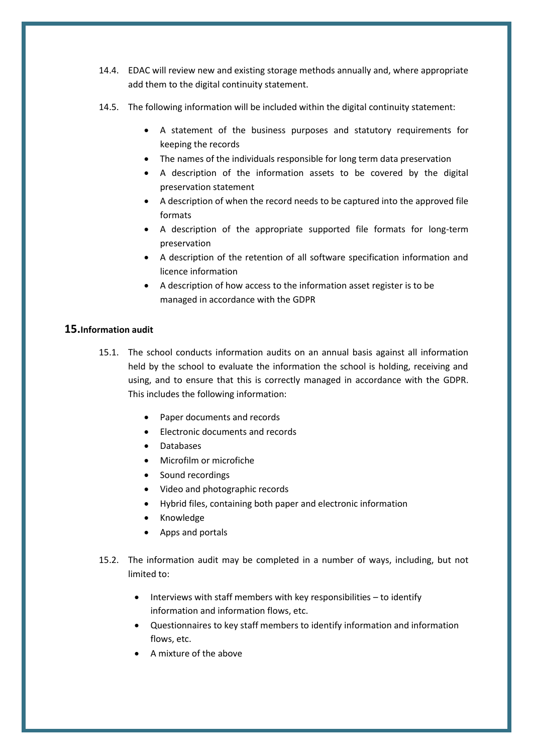- 14.4. EDAC will review new and existing storage methods annually and, where appropriate add them to the digital continuity statement.
- 14.5. The following information will be included within the digital continuity statement:
	- A statement of the business purposes and statutory requirements for keeping the records
	- The names of the individuals responsible for long term data preservation
	- A description of the information assets to be covered by the digital preservation statement
	- A description of when the record needs to be captured into the approved file formats
	- A description of the appropriate supported file formats for long-term preservation
	- A description of the retention of all software specification information and licence information
	- A description of how access to the information asset register is to be managed in accordance with the GDPR

# **15.Information audit**

- 15.1. The school conducts information audits on an annual basis against all information held by the school to evaluate the information the school is holding, receiving and using, and to ensure that this is correctly managed in accordance with the GDPR. This includes the following information:
	- Paper documents and records
	- Electronic documents and records
	- Databases
	- Microfilm or microfiche
	- Sound recordings
	- Video and photographic records
	- Hybrid files, containing both paper and electronic information
	- Knowledge
	- Apps and portals
- 15.2. The information audit may be completed in a number of ways, including, but not limited to:
	- $\bullet$  Interviews with staff members with key responsibilities to identify information and information flows, etc.
	- Questionnaires to key staff members to identify information and information flows, etc.
	- A mixture of the above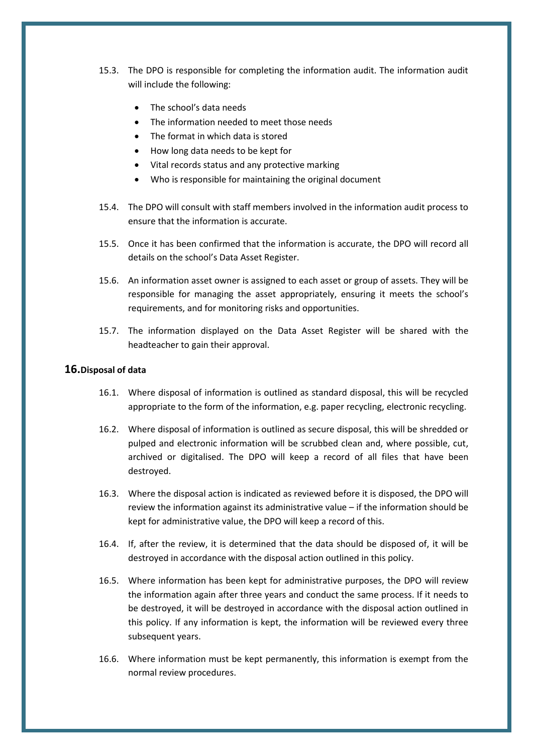- 15.3. The DPO is responsible for completing the information audit. The information audit will include the following:
	- The school's data needs
	- The information needed to meet those needs
	- The format in which data is stored
	- How long data needs to be kept for
	- Vital records status and any protective marking
	- Who is responsible for maintaining the original document
- 15.4. The DPO will consult with staff members involved in the information audit process to ensure that the information is accurate.
- 15.5. Once it has been confirmed that the information is accurate, the DPO will record all details on the school's Data Asset Register.
- 15.6. An information asset owner is assigned to each asset or group of assets. They will be responsible for managing the asset appropriately, ensuring it meets the school's requirements, and for monitoring risks and opportunities.
- 15.7. The information displayed on the Data Asset Register will be shared with the headteacher to gain their approval.

## **16.Disposal of data**

- 16.1. Where disposal of information is outlined as standard disposal, this will be recycled appropriate to the form of the information, e.g. paper recycling, electronic recycling.
- 16.2. Where disposal of information is outlined as secure disposal, this will be shredded or pulped and electronic information will be scrubbed clean and, where possible, cut, archived or digitalised. The DPO will keep a record of all files that have been destroyed.
- 16.3. Where the disposal action is indicated as reviewed before it is disposed, the DPO will review the information against its administrative value – if the information should be kept for administrative value, the DPO will keep a record of this.
- 16.4. If, after the review, it is determined that the data should be disposed of, it will be destroyed in accordance with the disposal action outlined in this policy.
- 16.5. Where information has been kept for administrative purposes, the DPO will review the information again after three years and conduct the same process. If it needs to be destroyed, it will be destroyed in accordance with the disposal action outlined in this policy. If any information is kept, the information will be reviewed every three subsequent years.
- 16.6. Where information must be kept permanently, this information is exempt from the normal review procedures.